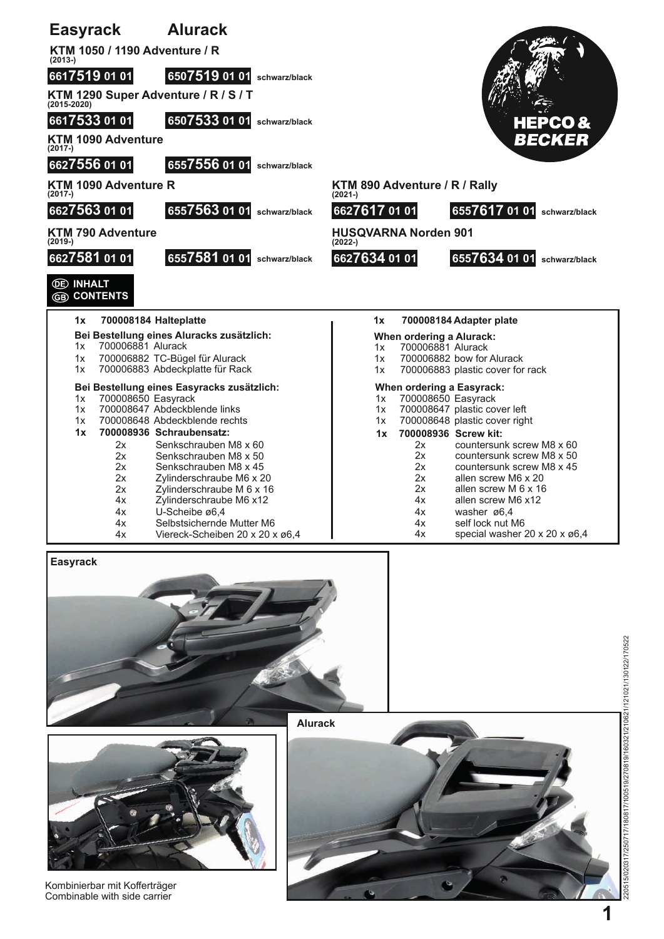

**Alurack**



Kombinierbar mit Kofferträger Combinable with side carrier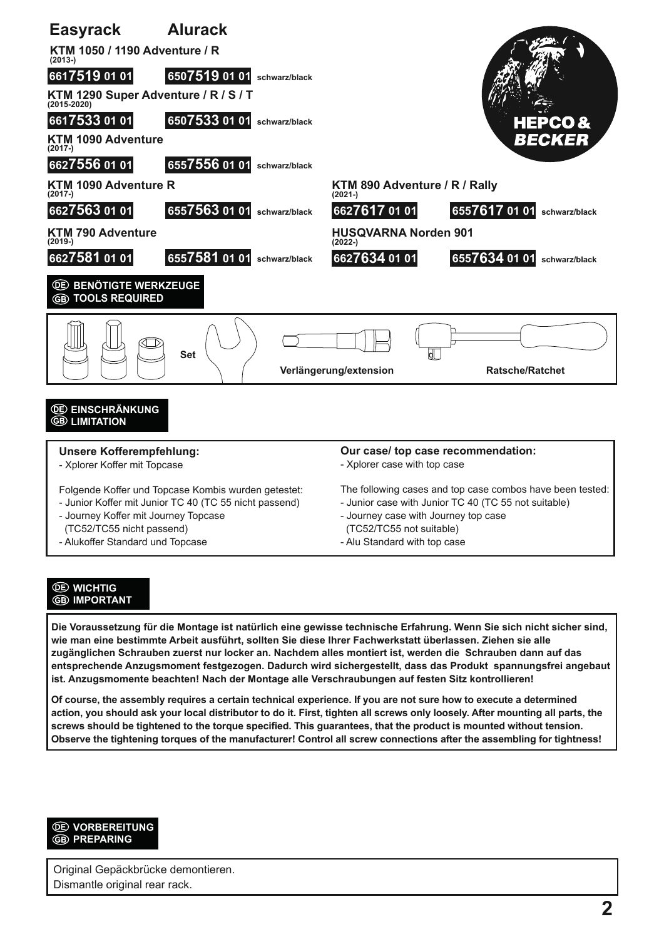

## **WICHTIG IMPORTANT**

**Die Voraussetzung für die Montage ist natürlich eine gewisse technische Erfahrung. Wenn Sie sich nicht sicher sind, wie man eine bestimmte Arbeit ausführt, sollten Sie diese Ihrer Fachwerkstatt überlassen. Ziehen sie alle zugänglichen Schrauben zuerst nur locker an. Nachdem alles montiert ist, werden die Schrauben dann auf das entsprechende Anzugsmoment festgezogen. Dadurch wird sichergestellt, dass das Produkt spannungsfrei angebaut ist. Anzugsmomente beachten! Nach der Montage alle Verschraubungen auf festen Sitz kontrollieren!**

**Of course, the assembly requires a certain technical experience. If you are not sure how to execute a determined action, you should ask your local distributor to do it. First, tighten all screws only loosely. After mounting all parts, the screws should be tightened to the torque specified. This guarantees, that the product is mounted without tension. Observe the tightening torques of the manufacturer! Control all screw connections after the assembling for tightness!**



Original Gepäckbrücke demontieren. Dismantle original rear rack.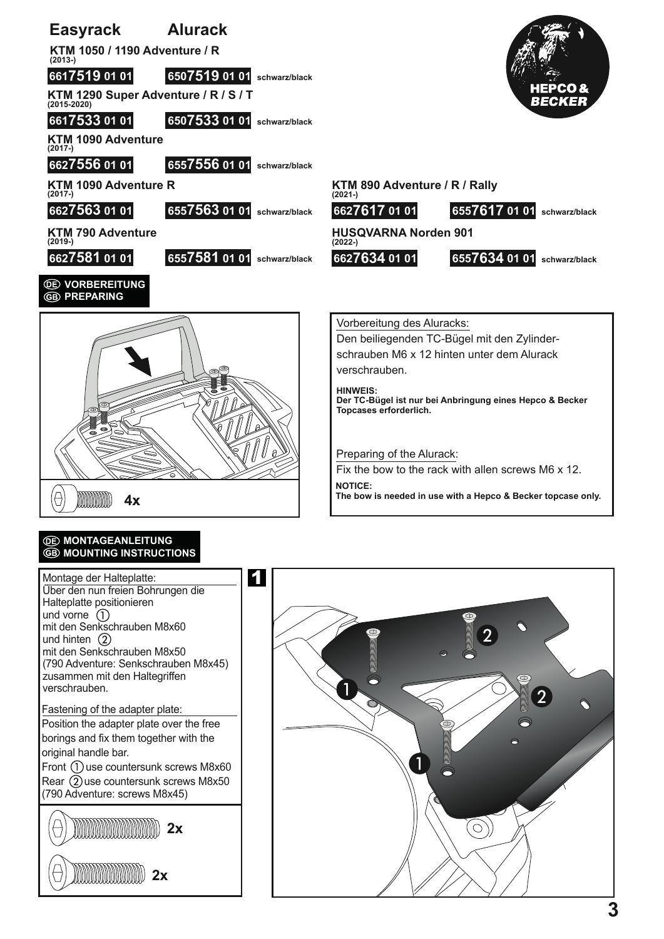

## *<u>OE MONTAGEANLEITUNG</u>* **ED MOUNTING INSTRUCTIONS**

**2x 2x** Montage der Halteplatte: Über den nun freien Bohrungen die Halteplatte positionieren und vorne  $\overline{()}$ mit den Senkschrauben M8x60 und hinten  $\circled{2}$ mit den Senkschrauben M8x50 (790 Adventure: Senkschrauben M8x45) zusammen mit den Haltegriffen verschrauben. Fastening of the adapter plate: Position the adapter plate over the free borings and fix them together with the original handle bar. Front  $\Omega$  use countersunk screws M8x60 Rear  $(2)$  use countersunk screws M8x50 (790 Adventure: screws M8x45)

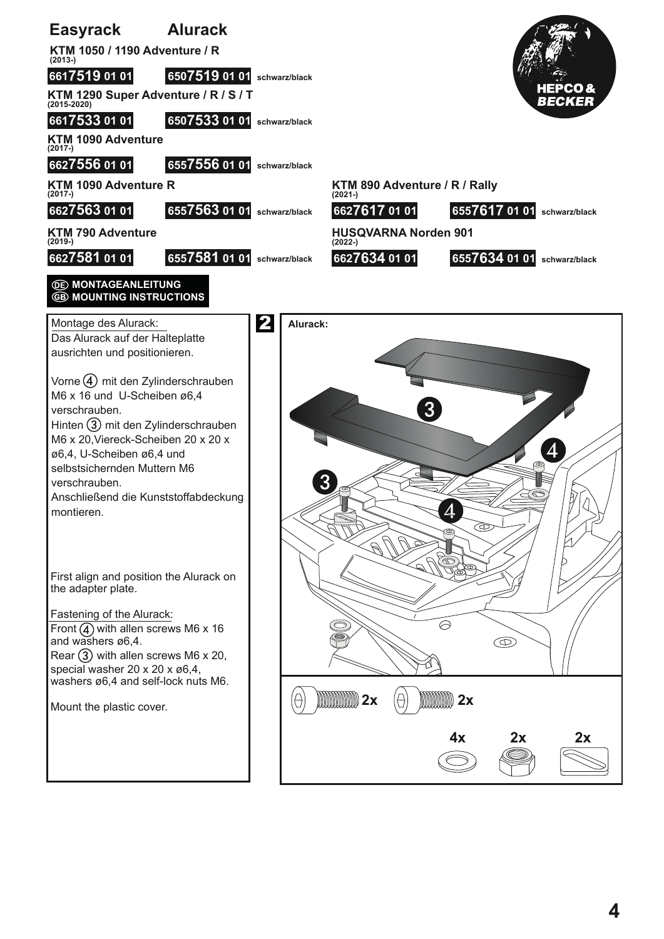

**4**